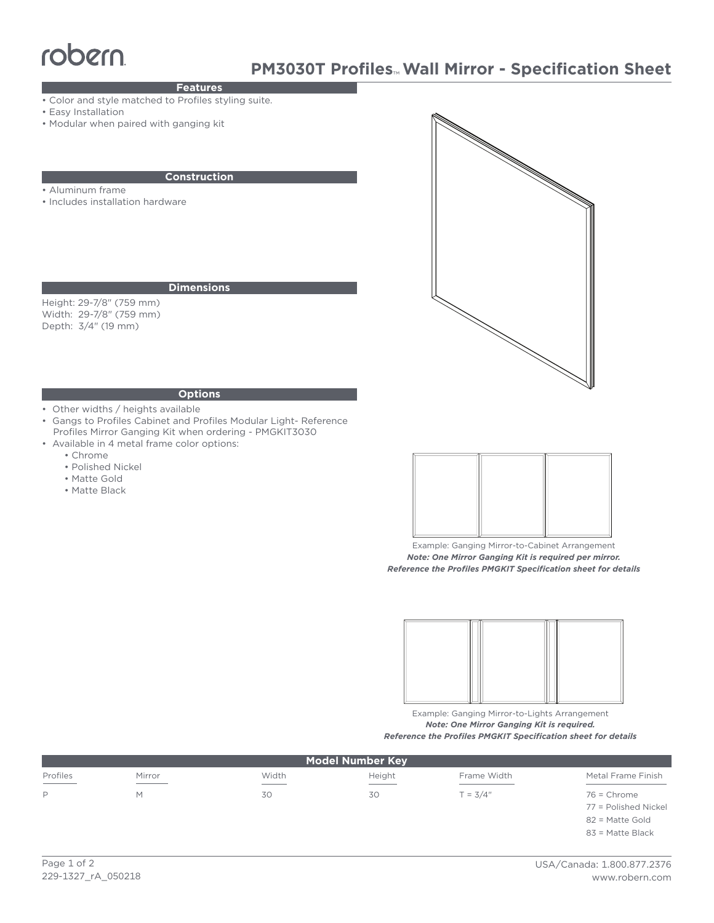# robern

# **PM3030T Profiles**™ **Wall Mirror - Specification Sheet**

## **Features**

- Color and style matched to Profiles styling suite.
- Easy Installation
- Modular when paired with ganging kit

#### **Construction**

- Aluminum frame
- Includes installation hardware

#### **Dimensions**

Height: 29-7/8" (759 mm) Width: 29-7/8" (759 mm) Depth: 3/4" (19 mm)



## **Options**

- Other widths / heights available
- Gangs to Profiles Cabinet and Profiles Modular Light- Reference Profiles Mirror Ganging Kit when ordering - PMGKIT3030
- Available in 4 metal frame color options:
	- Chrome
	- Polished Nickel
	- Matte Gold
	- Matte Black



Example: Ganging Mirror-to-Cabinet Arrangement *Note: One Mirror Ganging Kit is required per mirror. Reference the Profiles PMGKIT Specification sheet for details*



Example: Ganging Mirror-to-Lights Arrangement *Note: One Mirror Ganging Kit is required. Reference the Profiles PMGKIT Specification sheet for details*

| <b>Model Number Key</b>                                                                                                                                                                                                                                                                                                                                                                                                                                                                |                                             |                |                 |             |                      |
|----------------------------------------------------------------------------------------------------------------------------------------------------------------------------------------------------------------------------------------------------------------------------------------------------------------------------------------------------------------------------------------------------------------------------------------------------------------------------------------|---------------------------------------------|----------------|-----------------|-------------|----------------------|
| Profiles<br>$\frac{1}{2} \left( \frac{1}{2} \right) \left( \frac{1}{2} \right) \left( \frac{1}{2} \right) \left( \frac{1}{2} \right) \left( \frac{1}{2} \right) \left( \frac{1}{2} \right) \left( \frac{1}{2} \right) \left( \frac{1}{2} \right) \left( \frac{1}{2} \right) \left( \frac{1}{2} \right) \left( \frac{1}{2} \right) \left( \frac{1}{2} \right) \left( \frac{1}{2} \right) \left( \frac{1}{2} \right) \left( \frac{1}{2} \right) \left( \frac{1}{2} \right) \left( \frac$ | Mirror<br>the control of the control of the | Width<br>_____ | Height<br>_____ | Frame Width | Metal Frame Finish   |
| P                                                                                                                                                                                                                                                                                                                                                                                                                                                                                      | м                                           | 30             | 30              | $T = 3/4"$  | $76$ = Chrome        |
|                                                                                                                                                                                                                                                                                                                                                                                                                                                                                        |                                             |                |                 |             | 77 = Polished Nickel |
|                                                                                                                                                                                                                                                                                                                                                                                                                                                                                        |                                             |                |                 |             | 82 = Matte Gold      |
|                                                                                                                                                                                                                                                                                                                                                                                                                                                                                        |                                             |                |                 |             | 83 = Matte Black     |